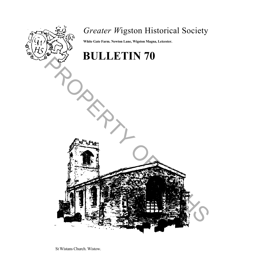

# *Greater W*igston Historical Society

**White Gate Farm. Newton Lane, Wigston Magna, Leicester.**

# **BULLETIN 70** PROPERTY OF GWHSTEIN OF

St Wistans Church. Wistow.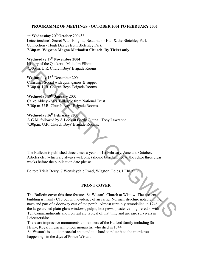### **PROGRAMME OF MEETINGS - OCTOBER 2004 TO FEBRUARY 2005**

**\*\* Wednesday** 20th **October** 2004\*\* Leicestershire's Secret War- Enigma, Beaumanor Hall & the Bletchley Park Connection - Hugh Davies from Bletchley Park **7.30p.m. Wigston Magna Methodist Church. By Ticket only**

## **Wednesday 17th November 2004**

History of the Quakers - Malcolm Elliott 7.30p.m. U.R. Church Boys' Brigade Rooms.

**Wednesday** 15<sup>th</sup> December 2004 Christmas Social with quiz, games & supper 7.30p.m. U.R. Church Boys' Brigade Rooms.

### **Wednesday 19th January** 2005

Calke Abbey - Mrs. Gillespie from National Trust 7.30p.m. U.R. Church Boys' Brigade Rooms.

# **Wednesday 16th February 2005**

A.G.M. followed by A Look at Gertie Gitana - Tony Lawrance 7.30p.m. U.R. Church Boys' Brigade Rooms.

The Bulletin is published three times a year on 1st February, June and October. Articles etc. (which are always welcome) should be submitted to the editor three clear weeks before the publication date please.

Editor: Tricia Berry, 7 Wensleydale Road, Wigston. Leics. LEI8 3RX.

### **FRONT COVER**

The Bulletin cover this time features St. Wistan's Church at Wistow. The present building is mainly C13 but with evidence of an earlier Norman structure notably in the nave and part of a doorway east of the porch. Almost certainly remodelled in 1746, the large arched plain glass windows, pulpit, box pews, plaster ceiling, reredos with Ten Commandments and iron rail are typical of that time and are rare survivals in Leicestershire. History of the Quakers - Malcolm Elliott<br> **2000** The Church Boys' Brigade Rooms.<br> **Christmas's Cosial with quizz** games & supper<br>
2.30p.m, U.R. Church Boys' Brigade Rooms.<br> **Wednesday 19<sup>th</sup> games 2005**<br> **Calce Abbey - Mr** 

There are impressive monuments to members of the Halford family including Sir Henry, Royal Physician to four monarchs, who died in 1844.

St. Wistan's is a quiet peaceful spot and it is hard to relate it to the murderous happenings in the days of Prince Wistan.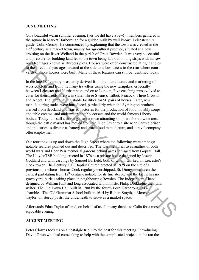### **JUNE MEETING**

On a beautiful warm summer evening, (yes we did have a few!), members gathered in the square in Market Harborough for a guided walk by well known Leicestershire guide, Colin Crosby. He commenced by explaining that the town was created in the  $12<sup>th</sup>$  century as a market town, mainly for agricultural produce, situated at a new crossing on the River Welland in the parish of Great Bowden. It was very successful and pressure for building land led to the town being laid out in long strips with narrow road frontages known as Burgess plots. Houses were often constructed at right angles to the street and passages created at the side to allow access to the rear where court yards of more houses were built. Many of these features can still be identified today.

In the late 18\* century prosperity derived from the manufacture and marketing of worsted cloth and from the many travellers using the new turnpikes, especially between Leicester and Northampton and on to London. Five coaching inns evolved to cater for their needs, the Swan (later Three Swans), Talbot, Peacock, Three Crowns and Angel. The latter having stable facilities for 90 pairs of horses. Later, new manufacturing trades were introduced, particularly when the Symington brothers arrived from Scotland and started factories for the production of food, notably soups and table creams, and underwear, notably corsets and the world famous Liberty bodice. Today it is still a thriving market town attracting shoppers from a wide area, though the cattle market has moved from the High Street to a site near Gartree prison, and industries as diverse as battery and snack food manufacture, and a travel company offer employment.

Our tour took us up and down the High Street where the following were amongst notable features pointed out and described. The war memorial to casualties of both world wars and Boar War memorial gardens behind gates salvaged from Gopsall Hall. The Lloyds/TSB building erected in 1876 as a private house designed by Joseph Goddard and with carvings by Samuel Barfield, both of whom worked on Leicester's clock tower. The Century Hall Baptist Church erected in 1929 on the site of a previous one where Thomas Cook regularly worshipped. St. Dionysius church the earliest part dating from  $12<sup>th</sup>$  century, notable for its fine steeple and the fact it has no grave yard, burials taking place in neighbouring Bowden. The Independent Chapel designed by William Flint and long associated with minister Philip Doddridge the hymn writer. The Old Town Hall built in 1788 by the fourth Lord Harborough as a shambles. The Old Grammar School built in 1614 by Robert Smyth, a Merchant Taylor, on sturdy posts, the underneath to serve as a market space. road, forthages known as Burgess plots. Houses were often constructed at right angles<br>of the forteer and passages created at the side to allow access to the rear where contracted of the side controls were built. Many of th

Afterwards Edna Taylor offered, on behalf of us all, many thanks to Colin for a most enjoyable evening.

### **AUGUST MEETING**

Peter Clowes took us on a nostalgic trip into the past for this meeting. Introducing David Orton who had come along to help with the complicated projection, he ran the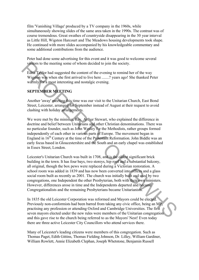film 'Vanishing Village' produced by a TV company in the 1960s, while simultaneously showing slides of the same area taken in the 1990s. The contrast was of course tremendous. Great swathes of countryside disappearing in the 30 year interval as Little Hill, Wigston Harcourt and The Meadows housing developments took shape. He continued with more slides accompanied by his knowledgeable commentary and some additional contributions from the audience.

Peter had done some advertising for this event and it was good to welcome several visitors to the meeting some of whom decided to join the society.

Edna Taylor had suggested the content of the evening to remind her of the way Wigston was when she first arrived to live here .......? years ago! She thanked Peter warmly for a most interesting and nostalgic evening.

# **SEPTEMBER MEETING**

Another 'away' meeting this time was our visit to the Unitarian Church, East Bond Street, Leicester, arranged for September instead of August at their request to avoid clashing with holiday arrangements.

We were met by the minister, Rev. Arthur Stewart, who explained the difference in doctrine and belief between Unitarians and other Christian denominations. There was no particular founder, such as John Wesley for the Methodists, rather groups formed independently of each other in various parts of Europe. The movement began in England in  $16<sup>th</sup>$  Century at the time of the Protestant Reformation. John Biddle was an early focus based in Gloucestershire and the South and an early chapel was established in Essex Street, London.

Leicester's Unitarian Church was built in 1708, and is the oldest significant brick building in the town. It has four bays, two storeys, hip roof and a substantial balcony, all original, though the box pews were replaced during a Victorian restoration. A school room was added in 1839 and has now been converted into offices and a glass social room built as recently as 2001. The church was initially built and used by two congregations, one Independent the other Presbyterian, both with their own ministers. However, differences arose in time and the Independents departed and became Congregationalists and the remaining Presbyterians became Unitarianists. visitions to the meeting some of whom decided to join the society.<br>
Edms Lights was when also lights are oncent of the evening to remind her of the way<br>
Wiggins was when also lined arrived to live here........? years age!

In 1835 the old Leicester Corporation was reformed and Mayors could be elected. Previously non-conformists had been barred from taking any civic office, being an MP, practising any profession or attending Oxford and Cambridge Universities. The first seven mayors elected under the new rules were members of the Unitarian congregation and this gave rise to the church being referred to as the Mayors' Nest! Even today there are three active Leicester City Councillors who attend services there.

Many of Leicester's leading citizens were members of this congregation. Such as Thomas Paget, Edith Gittins, Thomas Fielding Johnson, Dr. Lilley, William Gardiner, William Rowlett, Annie Elizabeth Clephan, Joseph Whetstone, Benjamin Russell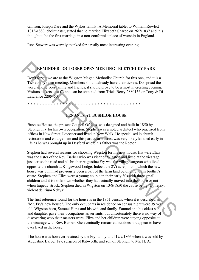Gimson, Joseph Dare and the Wykes family. A Memorial tablet to William Rowlett 1813-1883, choirmaster, stated that he married Elizabeth Sharpe on 26/7/1837 and it is thought to be the first marriage in a non-conformist place of worship in England.

Rev. Stewart was warmly thanked for a really most interesting evening.

\* \* \* \* \* \* \* \* \* \* \* \* \* \* \* \* \* \* \* \* \* \* \* \* \* \* \* \* \* \* \* \* \* \* \* \* \* \* \*

# **REMINDER - OCTOBER OPEN MEETING - BLETCHLEY PARK**

Don't forget we are at the Wigston Magna Methodist Church for this one, and it is a Ticket only open meeting. Members should already have their tickets. Do spread the word among your family and friends, it should prove to be a most interesting evening. Visitors' tickets cost Ä3 and can be obtained from Tricia Berry 2880156 or Tony & Di Lawrance 2205450.

# **TENANTS AT BUSHLOE HOUSE**

Bushloe House, the present Council Offices, was designed and built in 1850 by Stephen Fry for his own occupation. Stephen was a noted architect who practised from offices in New Street, Leicester and lived in New Walk. He specialised in church restoration and enlargement and this particular interest was very likely kindled early in life as he was brought up in Desford where his father was the Rector.

Stephen had several reasons for choosing Wigston for his new house. His wife Eliza was the sister of the Rev. Barber who was vicar of Wigston and lived at the vicarage just across the road and his brother Augustine Fry was the village surgeon who lived opposite the church at Kingswood Lodge. Indeed the 2Vi acre plot on which the new house was built had previously been a part of the farm land belonging to his brother's estate. Stephen and Eliza were a young couple in their early 30s with three small children and it is not known whether they had actually moved into the house or not when tragedy struck. Stephen died in Wigston on 13/8/1850 the cause being "Epilepsy, violent delirium 6 days". **REMINDER - OCTOBER OPEN MEETING - BLETCHILEY PARK**<br>
Dout large we are at the Wigston Magna Methodist Church for this one, and it is a<br>
Ticket only open meeting. Members should already have their tickets. Do spread the<br>
wo

The first reference found for the house is in the 1851 census, when it is described as "Mr. Fry's new house". The only occupants in residence on census night were 39 year old, Wigston born, Samuel Hurst and his wife and family. Samuel and his eldest son and daughter gave their occupations as servants, but unfortunately there is no way of discovering who their masters were. Eliza and her children were staying opposite at the vicarage with Rev. Barber. She eventually remarried but does not appear to have ever lived in the house.

The house was however retained by the Fry family until 19/9/1866 when it was sold by Augustine Barber Fry, surgeon of Kibworth, and son of Stephen, to Mr. H. A.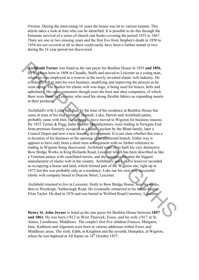Owston. During the intervening 16 years the house was let to various tenants. This article takes a look at four who can be identified. It is possible to do this through the fortunate survival of a series of church rate books covering the period 1855 to 1867. There are one or two missing years and the first five from Stephen's death in 1850 to 1854 are not covered at all so there could easily have been a further tenant or two during the 16 year period not discovered.

**Archibald Turner** was listed as the rate payer for Bushloe House in 1855 **and 1856.**  He had been born in 1808 in Cheadle, Staffs and moved to Leicester as a young man, where he was employed as a weaver in the newly invented elastic web industry. He eventually left to start his own business, modifying and improving the process as he went along. The market for elastic web was huge, it being used for braces, belts and upholstery. His main customers though were the boot and shoe companies, of which there were many in Leicester, who used his strong flexible fabrics as expanding inserts in their products.

Archibald's wife Lydia had died by the time of his residence at Bushloe House but some at least of his four children, Hannah, Luke, Harriet and Archibald junior, probably came with him. He appears to have moved to Wigston for business reasons. By 1855 Turner & Pegg, India Rubber Manufacturers, were trading in Newgate End from premises formerly occupied as a lunatic asylum by the Blunt family, later a Council Depot and now a new housing development. It is not clear whether this was a re-location of his business or the opening of an additional branch. Either way it appears to have only been a short term arrangement with no further reference to trading in Wigston being discovered. Archibald went on to built his very distinctive Bow Bridge Works in King Richards Road, Leicester which has been described as like a Venetian palace with castellated turrets, and the company became the biggest manufacturer of elastic web in the country. Archibald's son Luke is however recorded as occupying a house and land, which formed part of the Wigston site, right up to 1872 but this was probably only as a residence. Luke ran his own very successful elastic web company based in Deacon Street, Leicester. **Archibald Turner** was listed as the rate payer for Bushloe House in 1855 and 1856.<br>
He haddheen born in 1808 in Cheadle, Staff's and moved to I eiester as a young man,<br>
whighe the was employed as a weare in the newly inv

Archibald returned to live in Leicester, firstly to Bow Bridge House, near his works, then to Westleigh, Narborough Road. He eventually remarried to his house-keeper Eliza Taylor. He died in 1876 and was buried in Welford Road Cemetery, Leicester.

**Henry St. John Joyner** is listed as the rate payer for Bushloe House between **1857 and 1861.** He was born c!812 in West Thurrock, Essex, and his wife c!817 in St. Annes, Limehouse, Middlesex. The couple's first five children Frances, Margaret, Jane, Kathleen and Algernon were born at various addresses within Essex and Middlesex areas. The sixth, Edith, at Knighton and the seventh, Hampden, at Wigston, where he was baptised at All Saints on  $14<sup>th</sup>$  October 1857.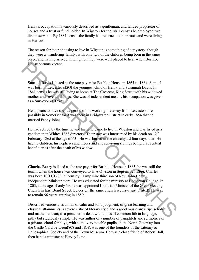Henry's occupation is variously described as a gentleman, and landed proprietor of houses and a trust or fund holder. In Wigston for the 1861 census he employed two live in servants. By 1881 census the family had returned to their roots and were living in Harrow.

The reason for their choosing to live in Wigston is something of a mystery, though they were a 'wandering' family, with only two of the children being born in the same place, and having arrived in Knighton they were well placed to hear when Bushloe House became vacant.

**Samuel Davis** is listed as the rate payer for Bushloe House in **1862 to 1864.** Samuel was born in Leicester clSOl the youngest child of Henry and Susannah Davis. In 1841 census he was still living at home at The Crescent, King Street with his widowed mother and several siblings. She was of independent means, his occupation was given as a Surveyor of Taxes.

He appears to have spent a period of his working life away from Leicestershire possibly in Somerset for it was there in Bridgwater District in early 1854 that he married Fanny Johns.

He had retired by the time he and his wife came to live in Wigston and was listed as a gentleman in Whites 1863 directory. Their stay was interrupted by his death on  $12<sup>th</sup>$ February 1865 at the age of 63 . He was buried in the churchyard four days later. He had no children, his nephews and nieces and any surviving siblings being bis eventual beneficiaries after the death of his widow.

**Charles Berry** is listed as the rate payer for Bushloe House in **1865,** he was still the tenant when the house was conveyed to H A Owston in **September 1866.** Charles was born 10/11/1783 in Romsey, Hampshire third son of Rev. John Berry, Independent Minister there. He was educated for the ministry at Homerton College. In 1803, at the age of only 19, he was appointed Unitarian Minister of the Great Meeting Church in East Bond Street, Leicester (the same church we have just visited). He was to remain 56 years, retiring in 1859. **House became vacant.**<br> **Samued Davis.** is isted as the rate payer for Bushloe House in 1862 to 1864. Samuel<br>
was sign niff actes in eSO the youngest child of Henry and Susannah Davis. In<br>
was sign niff actes er iSO the y

Described variously as a man of calm and solid judgment; of great learning and classical attainments; a severe critic of literary style and a good musician; a ripe scholar and mathematician; as a preacher he dealt with topics of common life in language, pithy but studiously simple. He was author of a number of pamphlets and sermons, ran a private school for boys, with some very notable pupils, in the North Gateway into the Castle Yard between!808 and 1838, was one of the founders of the Literary & Philosophical Society and of the Town Museum. He was a close friend of Robert Hall, then baptist minister at Harvey Lane.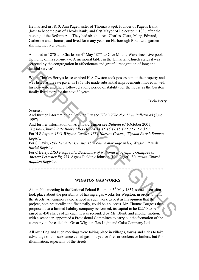He married in 1810, Ann Paget, sister of Thomas Paget, founder of Paget's Bank (later to become part of Lloyds Bank) and first Mayor of Leicester in 1836 after the passing of the Reform Act. They had six children, Charles, Clara, Mary, Edward, Catherine and Thomas, and lived for many years on Narborough Road with garden skirting the river banks.

Ann died in 1870 and Charles on 4<sup>th</sup> May 1877 at Olive Mount, Wavertree, Liverpool, the home of his son-in-law. A memorial tablet in the Unitarian Church states it was "erected by the congregation in affectionate and grateful recognition of long and faithful service".

When Charles Berry's lease expired H A Owston took possession of the property and was listed as the rate payer in 1867. He made substantial improvements, moved in with his new wife and there followed a long period of stability for the house as the Owston family lived there for the next 80 years.

Tricia Berry

Sources:

And further information on Stephen Fry see *Who's Who No: 17 in Bulletin 48* (June 1997).

And further information on Archibald Turner see *Bulletin 61* (October 2001). *Wigstan Church Rate Books LRO DE384/44,45,46,47,48,49,50,51, 52 &53.* For H S Joyner, *1861 Wigston Census, 1881 Harrow Census, Wigston Parish Baptism Register.*

For S Davis, *1841 Leicester Census, 1837'online marriage index, Wigston Parish Burial Register.*

For C Berry, *LRO People file, Dictionary of National Biography, Glimpses of Ancient Leicester Pg 358,* Agnes Fielding Johnson (Nee Paget), *Unitarian Church Baptism Register.*

\* \* \* \* \* \* \* \* \* \* \* \* \* \* \* \* \* \* \* \* \* \* \* \* \* \* \* \* \* \* \* \* \* \* \* \* \* \* \* \* \* \* \* \* \*

### **WIGSTON GAS WORKS**

At a public meeting in the National School Room on 5<sup>th</sup> May 1857, some discussion took place about the possibility of having a gas works for Wigston, in order to light the streets. An engineer experienced in such work gave it as his opinion that the project, both practically and financially, could be a success. Mr. Thomas Burgess then proposed that a limited liability company be formed, its capital to be Ä2250 to be raised in 450 shares of £5 each. It was seconded by Mr. Blunt, and another motion, with a seconder, appointed a Provisional Committee to carry out the formation of the company, to be called the Great Wigston Gas-Light and Coke Company Ltd. Perceloid by the congregation in affectionate and grateful recognition of long and<br>
chiralis services<br>
Wigh Charles Berry's lease expired H A Owston took possession of the property and<br>
was listed as the rate payer in 186

All over England such meetings were taking place in villages, towns and cities to take advantage of this substance called gas, not yet for fires or cookers or boilers, but for illumination, especially of the streets.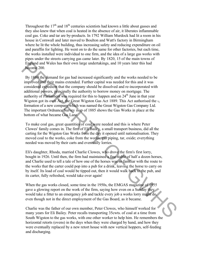Throughout the  $17<sup>th</sup>$  and  $18<sup>th</sup>$  centuries scientists had known a little about gasses and they also knew that when coal is heated in the absence of air, it liberates inflammable coal gas. Coke and tar are by-products. In 1792 William Murdock had lit a room in his house in Cornwall and later moved to Boulton and Watt's factory in Birmingham where he lit the whole building, thus increasing safety and reducing expenditure on oil and paraffin for lighting. He went on to do the same for other factories, but each time, the works installed were individual to one firm, and the idea of a large gas works with pipes under the streets carrying gas came later. By 1820, 15 of the main towns of England and Wales has their own large undertakings, and 10 years later this had become 200.

By 1889 the demand for gas had increased significantly and the works needed to be improved and their mains extended. Further capital was needed for this and it was considered expedient that the company should be dissolved and re-incorporated with additional powers, principally the authority to borrow money on mortgage. The authority of Parliament was required for this to happen and on  $24<sup>th</sup>$  June in that year Wigston got its own Act, the Great Wigston Gas Act 1889. This Act authorised the  $\frac{1}{2}$ formation of a new company which was named the Great Wigston Gas Company Ltd. The important Ordnance Survey map of 1885 shows the Gas Works in place at the bottom of what became Gas Lane. England and Wales has their own large undertakings, and 10 years later this had<br>England and Wales has their own large undertakings, and 10 years later this had<br>improved and their mains extended. Further capital was needed

To make coal gas, great quantities of coal were needed and this is where Peter Clowes' family comes in. The firm of Eli Bailey, a small transport business, did all the carting for the Wigston Gas Works from the day it opened until nationalisation. They moved coal to the works, coke from the works, gas piping, tar, oxide; everything needed was moved by their carts and eventually lorries.

Eli's daughter, Rhoda, married Charlie Clowes, who drove the firm's first lorry, bought in 1926. Until then, the firm had maintained a fine stable of half a dozen horses, and Charlie used to tell a tale of how one of the horses was so familiar with the route to the works that the carter could pop into a pub for a drink, leaving the horse to carry on by itself. Its load of coal would be tipped out, then it would walk back to the pub, and its carter, fully refreshed, would take over again!

When the gas works closed, some time in the 1950s, the EMGAS magazine of 1955 gave a glowing report on the work of the firm, saying how even on a Sunday they would take a fitter to an emergency job and tackle every job a works lorry might do, even though not in the direct employment of the Gas Board, as it became.

Charlie was the father of our own member, Peter Clowes, who himself worked for many years for Eli Bailey. Peter recalls transporting 35cwts. of coal at a time from South Wigston to the gas works, with one other worker to help him. He remembers the horizontal retorts (ovens) in the days when they were charged by hand, and how they were eventually replaced by a new retort house with new vertical hoppers, self-feeding and discharging.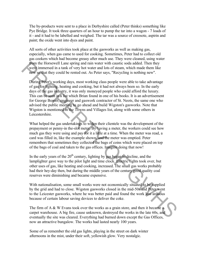The by-products were sent to a place in Derbyshire called (Peter thinks) something like Pye Bridge. It took three quarters of an hour to pump the tar into a wagon - 7 loads of it - and it had to be labelled and weighed. The tar was a source of creosote, aspirin and paint; the oxide went into dyes and paint.

All sorts of other activities took place at the gasworks as well as making gas, especially, when gas came to used for cooking. Sometimes, Peter had to collect old gas cookers which had become greasy after much use. They were cleaned, using water from the Horsewell Lane spring and rain water with caustic soda added. Then they were immersed in a tank of very hot water and lots of steam, which made them like new so that they could be rented out. As Peter says, "Recycling is nothing new".

During Peter's working days, most working class people were able to take advantage of gas for lighting, heating and cooking, but it had not always been so. In the early days of the gas industry, it was only moneyed people who could afford the luxury. This can be seen in a list which Brian found in one of his books. It is an advertisement for George Bower, engineer and gaswork contractor of St. Neots, the same one who advised the public meeting to go ahead and build Wigston's gasworks. Note that Wigston is mentioned in the Towns and Villages list, along with some others in Leicestershire. From the Horsevolul Lane spring and prin water with caustic solar added. Then they cannot the matter of the system in the system in the matter of the matter of the matter of the matter of the matter of the matter of the m

What helped the gas undertakings to widen their clientele was the development of the prepayment or penny-in the-slot meter. By having a meter, the workers could see how much gas they were using and pay for it a little at a time. When the meter was read, a card was filled in, like the example shown, and the meter was emptied. Peter remembers that sometimes they collected the bags of coins which were placed on top of the bags of coal and taken to the gas offices. Imagine doing that now!

In the early years of the  $20<sup>th</sup>$  century, lighting by gas began to decline, and the lamplighter gave way to the pilot light and time clock. Electric lights took over, but other uses of gas, like heating and cooking, increased. The small gas works probably had their hey-day then, but during the middle years of the century good quality coal reserves were diminishing and became expensive.

With nationalisation, some small works were not economically situated to be supplied by the grid and had to close. Wigston gasworks closed in the mid-50s and Peter went to the Leicester gasworks, where he was better paid and found the work less arduous because of certain labour saving devices to deliver the coke.

The firm of A & W Evans took over the works as a grain store, and then it became a carpet warehouse. A big fire, cause unknown, destroyed the works in the late 60s, and eventually the site was cleared. Everything had burned down except the Gas Offices, now an attractive bungalow. The works had lasted nearly 100 years.

Some of us remember the old gas lights, playing in the street on dark winter afternoons in the mist, under their soft, yellowish glow. Very nostalgic.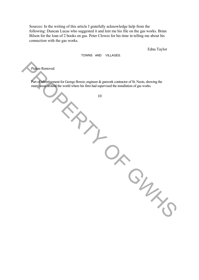Sources: In the writing of this article I gratefully acknowledge help from the following: Duncan Lucas who suggested it and lent me his file on the gas works. Brian Bilson for the loan of 2 books on gas. Peter Clowes for his time in telling me about his connection with the gas works.

Edna Taylor

We CH

TOWNS AND VILLAGES.

Picture Removed.

Part of advertisement for George Bower, engineer & gaswork contractor of St. Neots, showing the many areas around the world where his firm had supervised the installation of gas works.

 $\frac{1}{2}$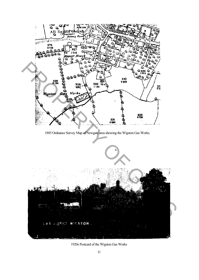

1920s Postcard of the Wigston Gas Works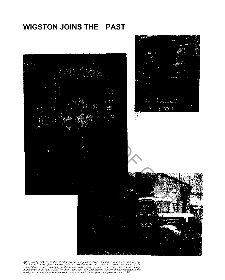# **WIGSTON JOINS THE PAST**



After nearly 100 years the Wigston works has closed down, becoming one more link on the "backbone" main front Chesterfield to Northampton. For the last time the men of the Undertaking gather together on the office steps; s